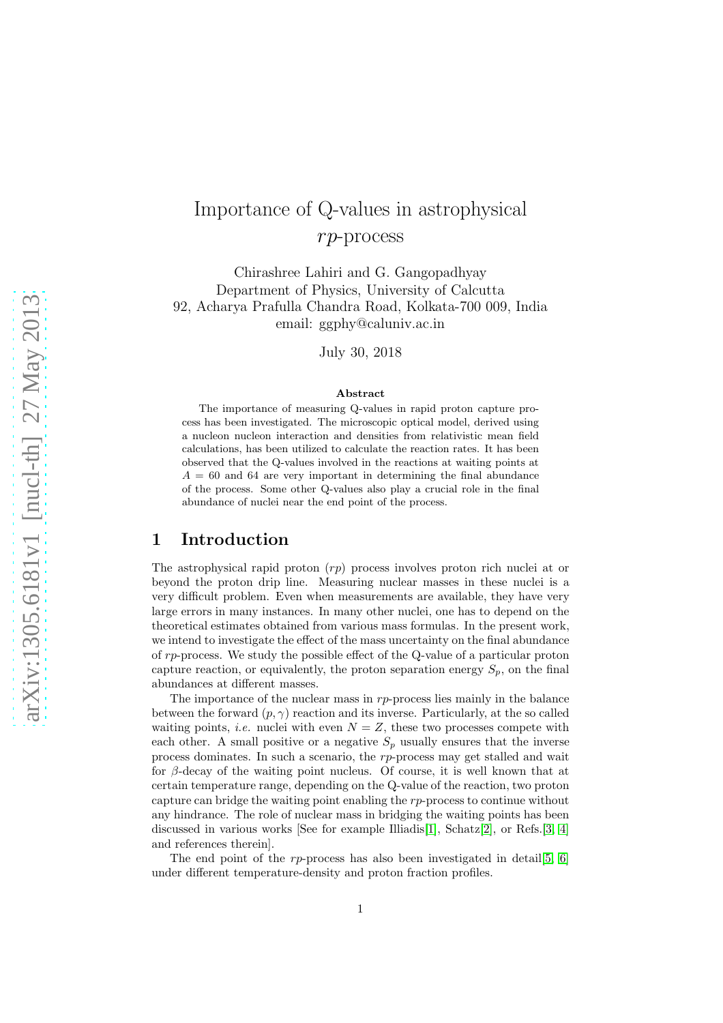# Importance of Q-values in astrophysical rp-process

Chirashree Lahiri and G. Gangopadhyay Department of Physics, University of Calcutta 92, Acharya Prafulla Chandra Road, Kolkata-700 009, India email: ggphy@caluniv.ac.in

July 30, 2018

#### Abstract

The importance of measuring Q-values in rapid proton capture process has been investigated. The microscopic optical model, derived using a nucleon nucleon interaction and densities from relativistic mean field calculations, has been utilized to calculate the reaction rates. It has been observed that the Q-values involved in the reactions at waiting points at  $A = 60$  and 64 are very important in determining the final abundance of the process. Some other Q-values also play a crucial role in the final abundance of nuclei near the end point of the process.

### 1 Introduction

The astrophysical rapid proton  $(rp)$  process involves proton rich nuclei at or beyond the proton drip line. Measuring nuclear masses in these nuclei is a very difficult problem. Even when measurements are available, they have very large errors in many instances. In many other nuclei, one has to depend on the theoretical estimates obtained from various mass formulas. In the present work, we intend to investigate the effect of the mass uncertainty on the final abundance of rp-process. We study the possible effect of the Q-value of a particular proton capture reaction, or equivalently, the proton separation energy  $S_p$ , on the final abundances at different masses.

The importance of the nuclear mass in  $rp$ -process lies mainly in the balance between the forward  $(p, \gamma)$  reaction and its inverse. Particularly, at the so called waiting points, *i.e.* nuclei with even  $N = Z$ , these two processes compete with each other. A small positive or a negative  $S_p$  usually ensures that the inverse process dominates. In such a scenario, the rp-process may get stalled and wait for  $\beta$ -decay of the waiting point nucleus. Of course, it is well known that at certain temperature range, depending on the Q-value of the reaction, two proton capture can bridge the waiting point enabling the rp-process to continue without any hindrance. The role of nuclear mass in bridging the waiting points has been discussed in various works [See for example Illiadis[\[1\]](#page-7-0), Schatz[\[2\]](#page-7-1), or Refs.[\[3,](#page-7-2) [4\]](#page-7-3) and references therein].

The end point of the  $rp$ -process has also been investigated in detail [\[5,](#page-7-4) [6\]](#page-7-5) under different temperature-density and proton fraction profiles.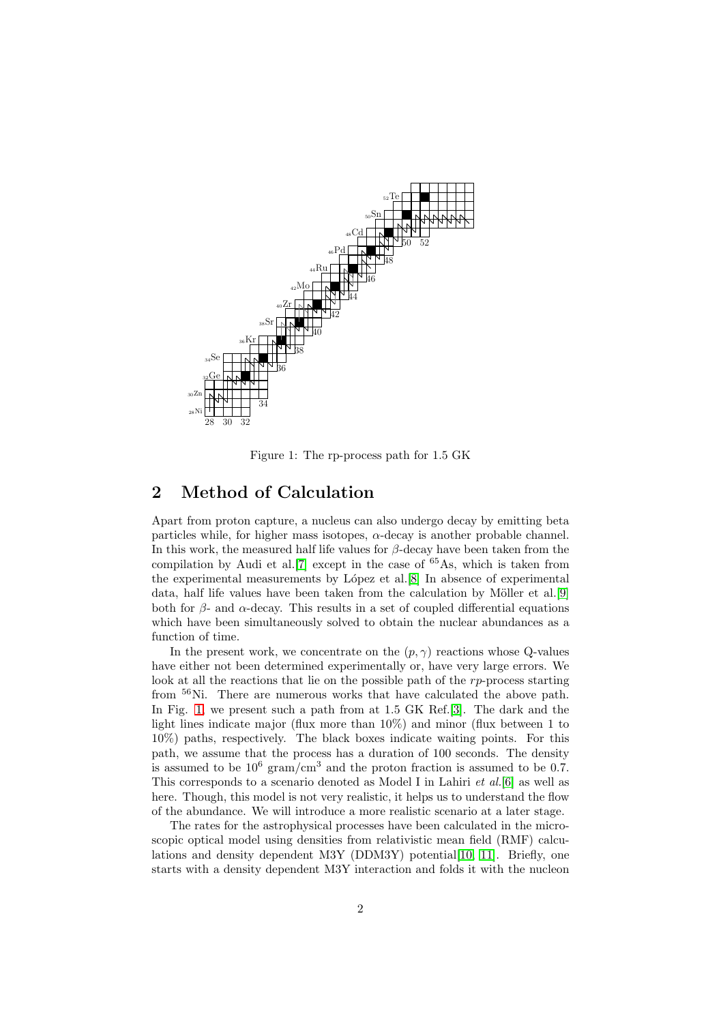

<span id="page-1-0"></span>Figure 1: The rp-process path for 1.5 GK

### 2 Method of Calculation

Apart from proton capture, a nucleus can also undergo decay by emitting beta particles while, for higher mass isotopes,  $\alpha$ -decay is another probable channel. In this work, the measured half life values for  $\beta$ -decay have been taken from the compilation by Audi et al.<sup>[\[7\]](#page-7-6)</sup> except in the case of  $65\text{As}$ , which is taken from the experimental measurements by L´opez et al.[\[8\]](#page-7-7) In absence of experimental data, half life values have been taken from the calculation by Möller et al. [\[9\]](#page-7-8) both for  $\beta$ - and  $\alpha$ -decay. This results in a set of coupled differential equations which have been simultaneously solved to obtain the nuclear abundances as a function of time.

In the present work, we concentrate on the  $(p, \gamma)$  reactions whose Q-values have either not been determined experimentally or, have very large errors. We look at all the reactions that lie on the possible path of the rp-process starting from <sup>56</sup>Ni. There are numerous works that have calculated the above path. In Fig. [1,](#page-1-0) we present such a path from at 1.5 GK Ref.[\[3\]](#page-7-2). The dark and the light lines indicate major (flux more than 10%) and minor (flux between 1 to 10%) paths, respectively. The black boxes indicate waiting points. For this path, we assume that the process has a duration of 100 seconds. The density is assumed to be  $10^6$  gram/cm<sup>3</sup> and the proton fraction is assumed to be 0.7. This corresponds to a scenario denoted as Model I in Lahiri *et al.*[\[6\]](#page-7-5) as well as here. Though, this model is not very realistic, it helps us to understand the flow of the abundance. We will introduce a more realistic scenario at a later stage.

The rates for the astrophysical processes have been calculated in the microscopic optical model using densities from relativistic mean field (RMF) calcu-lations and density dependent M3Y (DDM3Y) potential [\[10,](#page-7-9) [11\]](#page-7-10). Briefly, one starts with a density dependent M3Y interaction and folds it with the nucleon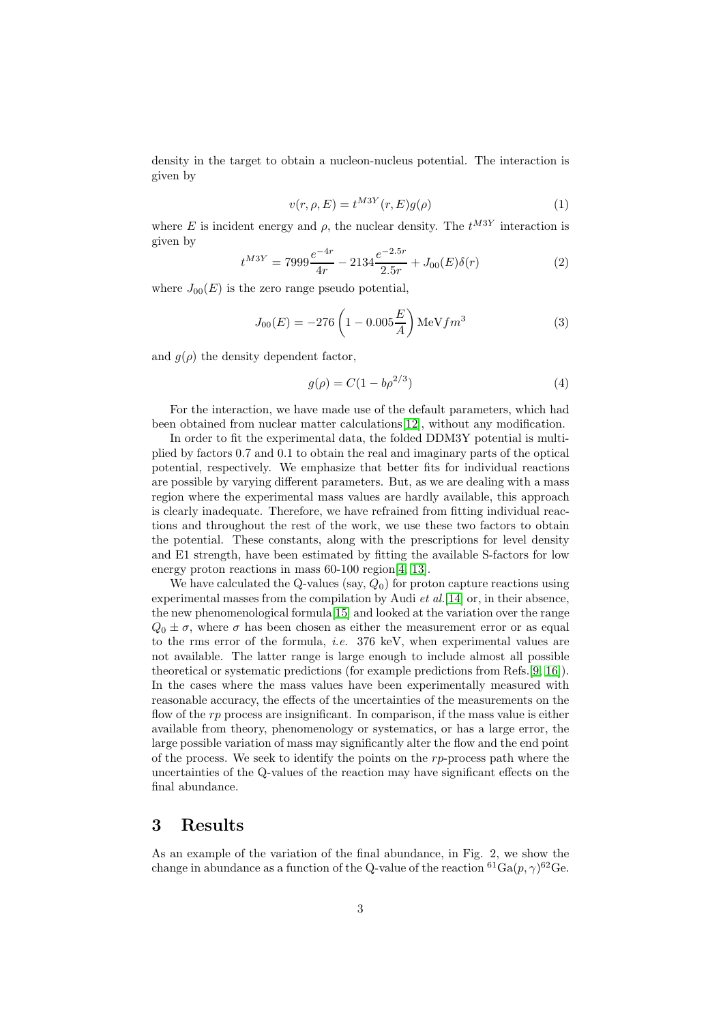density in the target to obtain a nucleon-nucleus potential. The interaction is given by

$$
v(r, \rho, E) = t^{M3Y}(r, E)g(\rho)
$$
\n<sup>(1)</sup>

where E is incident energy and  $\rho$ , the nuclear density. The  $t^{M3Y}$  interaction is given by

$$
t^{M3Y} = 7999 \frac{e^{-4r}}{4r} - 2134 \frac{e^{-2.5r}}{2.5r} + J_{00}(E)\delta(r)
$$
 (2)

where  $J_{00}(E)$  is the zero range pseudo potential,

$$
J_{00}(E) = -276 \left(1 - 0.005 \frac{E}{A}\right) \text{MeV} fm^3 \tag{3}
$$

and  $g(\rho)$  the density dependent factor,

$$
g(\rho) = C(1 - b\rho^{2/3})
$$
\n(4)

For the interaction, we have made use of the default parameters, which had been obtained from nuclear matter calculations[\[12\]](#page-7-11), without any modification.

In order to fit the experimental data, the folded DDM3Y potential is multiplied by factors 0.7 and 0.1 to obtain the real and imaginary parts of the optical potential, respectively. We emphasize that better fits for individual reactions are possible by varying different parameters. But, as we are dealing with a mass region where the experimental mass values are hardly available, this approach is clearly inadequate. Therefore, we have refrained from fitting individual reactions and throughout the rest of the work, we use these two factors to obtain the potential. These constants, along with the prescriptions for level density and E1 strength, have been estimated by fitting the available S-factors for low energy proton reactions in mass 60-100 region [\[4,](#page-7-3) [13\]](#page-7-12).

We have calculated the Q-values (say,  $Q_0$ ) for proton capture reactions using experimental masses from the compilation by Audi *et al.*[\[14\]](#page-8-0) or, in their absence, the new phenomenological formula[\[15\]](#page-8-1) and looked at the variation over the range  $Q_0 \pm \sigma$ , where  $\sigma$  has been chosen as either the measurement error or as equal to the rms error of the formula, *i.e.* 376 keV, when experimental values are not available. The latter range is large enough to include almost all possible theoretical or systematic predictions (for example predictions from Refs.[\[9,](#page-7-8) [16\]](#page-8-2)). In the cases where the mass values have been experimentally measured with reasonable accuracy, the effects of the uncertainties of the measurements on the flow of the  $rp$  process are insignificant. In comparison, if the mass value is either available from theory, phenomenology or systematics, or has a large error, the large possible variation of mass may significantly alter the flow and the end point of the process. We seek to identify the points on the  $rp$ -process path where the uncertainties of the Q-values of the reaction may have significant effects on the final abundance.

### 3 Results

As an example of the variation of the final abundance, in Fig. 2, we show the change in abundance as a function of the Q-value of the reaction  ${}^{61}\text{Ga}(p, \gamma){}^{62}\text{Ge}$ .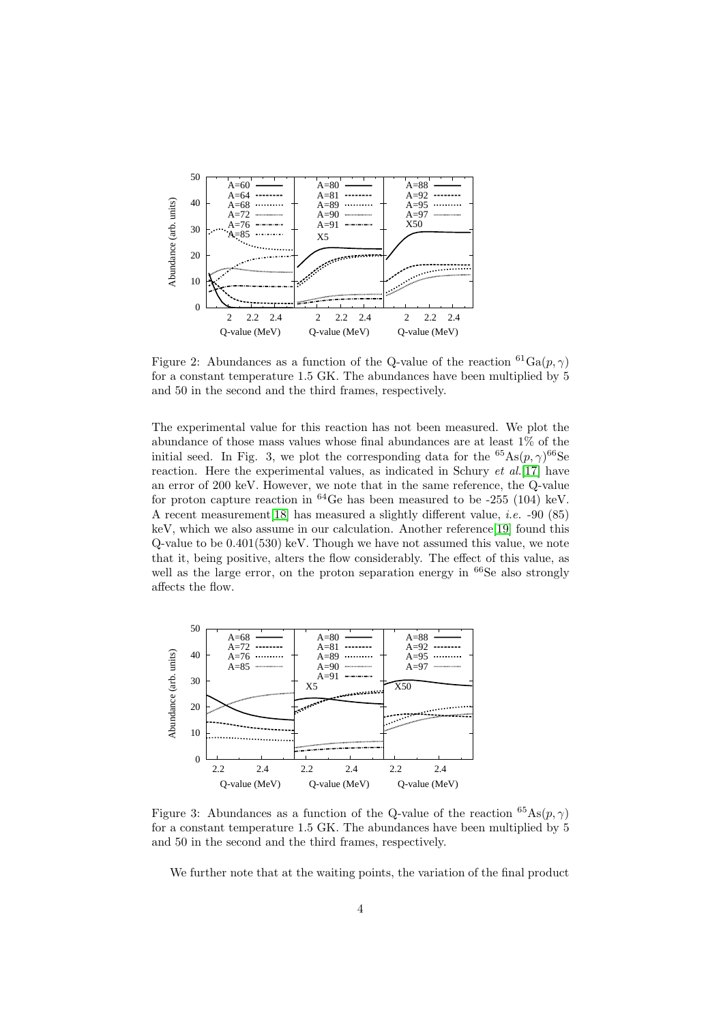

Figure 2: Abundances as a function of the Q-value of the reaction  ${}^{61}Ga(p, \gamma)$ for a constant temperature 1.5 GK. The abundances have been multiplied by 5 and 50 in the second and the third frames, respectively.

The experimental value for this reaction has not been measured. We plot the abundance of those mass values whose final abundances are at least 1% of the initial seed. In Fig. 3, we plot the corresponding data for the  ${}^{65}\text{As}(p, \gamma){}^{66}\text{Se}$ reaction. Here the experimental values, as indicated in Schury *et al.*[\[17\]](#page-8-3) have an error of 200 keV. However, we note that in the same reference, the Q-value for proton capture reaction in  $^{64}$ Ge has been measured to be -255 (104) keV. A recent measurement[\[18\]](#page-8-4) has measured a slightly different value, *i.e.* -90 (85) keV, which we also assume in our calculation. Another reference[\[19\]](#page-8-5) found this Q-value to be 0.401(530) keV. Though we have not assumed this value, we note that it, being positive, alters the flow considerably. The effect of this value, as well as the large error, on the proton separation energy in <sup>66</sup>Se also strongly affects the flow.



<span id="page-3-0"></span>Figure 3: Abundances as a function of the Q-value of the reaction  ${}^{65}\text{As}(p, \gamma)$ for a constant temperature 1.5 GK. The abundances have been multiplied by 5 and 50 in the second and the third frames, respectively.

We further note that at the waiting points, the variation of the final product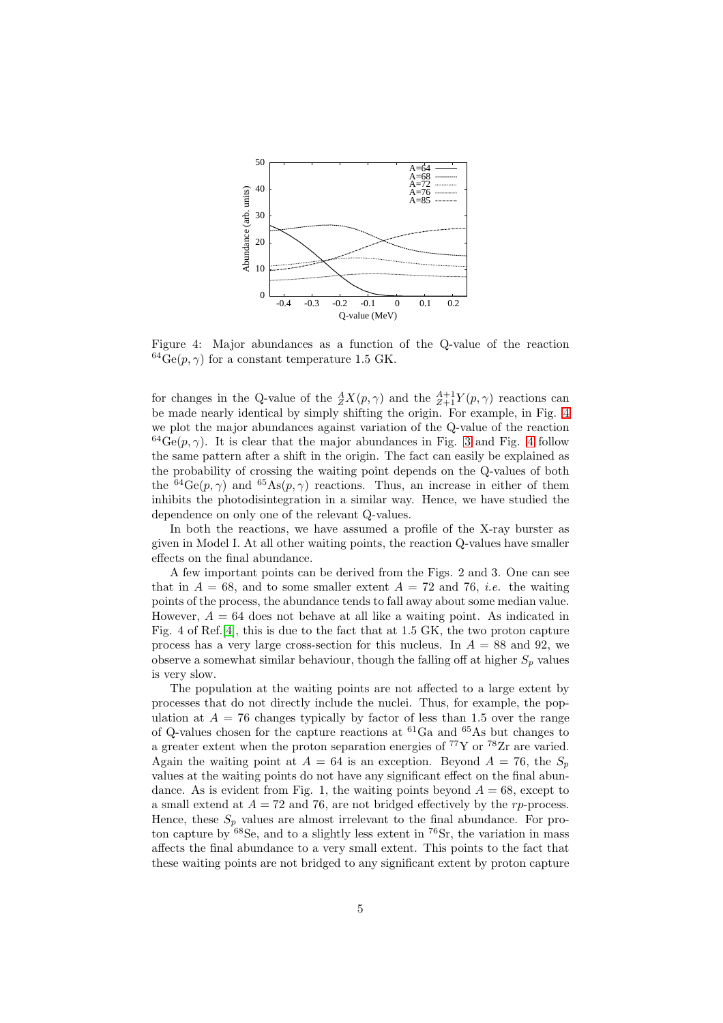

<span id="page-4-0"></span>Figure 4: Major abundances as a function of the Q-value of the reaction  $^{64}Ge(p, \gamma)$  for a constant temperature 1.5 GK.

for changes in the Q-value of the  ${}^A_ZX(p,\gamma)$  and the  ${}^{A+1}_{Z+1}Y(p,\gamma)$  reactions can be made nearly identical by simply shifting the origin. For example, in Fig. [4](#page-4-0) we plot the major abundances against variation of the Q-value of the reaction  $^{64}Ge(p,\gamma)$ . It is clear that the major abundances in Fig. [3](#page-3-0) and Fig. [4](#page-4-0) follow the same pattern after a shift in the origin. The fact can easily be explained as the probability of crossing the waiting point depends on the Q-values of both the <sup>64</sup>Ge(p,  $\gamma$ ) and <sup>65</sup>As(p,  $\gamma$ ) reactions. Thus, an increase in either of them inhibits the photodisintegration in a similar way. Hence, we have studied the dependence on only one of the relevant Q-values.

In both the reactions, we have assumed a profile of the X-ray burster as given in Model I. At all other waiting points, the reaction Q-values have smaller effects on the final abundance.

A few important points can be derived from the Figs. 2 and 3. One can see that in  $A = 68$ , and to some smaller extent  $A = 72$  and 76, *i.e.* the waiting points of the process, the abundance tends to fall away about some median value. However,  $A = 64$  does not behave at all like a waiting point. As indicated in Fig. 4 of Ref.[\[4\]](#page-7-3), this is due to the fact that at 1.5 GK, the two proton capture process has a very large cross-section for this nucleus. In  $A = 88$  and 92, we observe a somewhat similar behaviour, though the falling off at higher  $S_p$  values is very slow.

The population at the waiting points are not affected to a large extent by processes that do not directly include the nuclei. Thus, for example, the population at  $A = 76$  changes typically by factor of less than 1.5 over the range of Q-values chosen for the capture reactions at  ${}^{61}Ga$  and  ${}^{65}As$  but changes to a greater extent when the proton separation energies of <sup>77</sup>Y or <sup>78</sup>Zr are varied. Again the waiting point at  $A = 64$  is an exception. Beyond  $A = 76$ , the  $S_p$ values at the waiting points do not have any significant effect on the final abundance. As is evident from Fig. 1, the waiting points beyond  $A = 68$ , except to a small extend at  $A = 72$  and 76, are not bridged effectively by the rp-process. Hence, these  $S_p$  values are almost irrelevant to the final abundance. For proton capture by  $68$ Se, and to a slightly less extent in  $76$ Sr, the variation in mass affects the final abundance to a very small extent. This points to the fact that these waiting points are not bridged to any significant extent by proton capture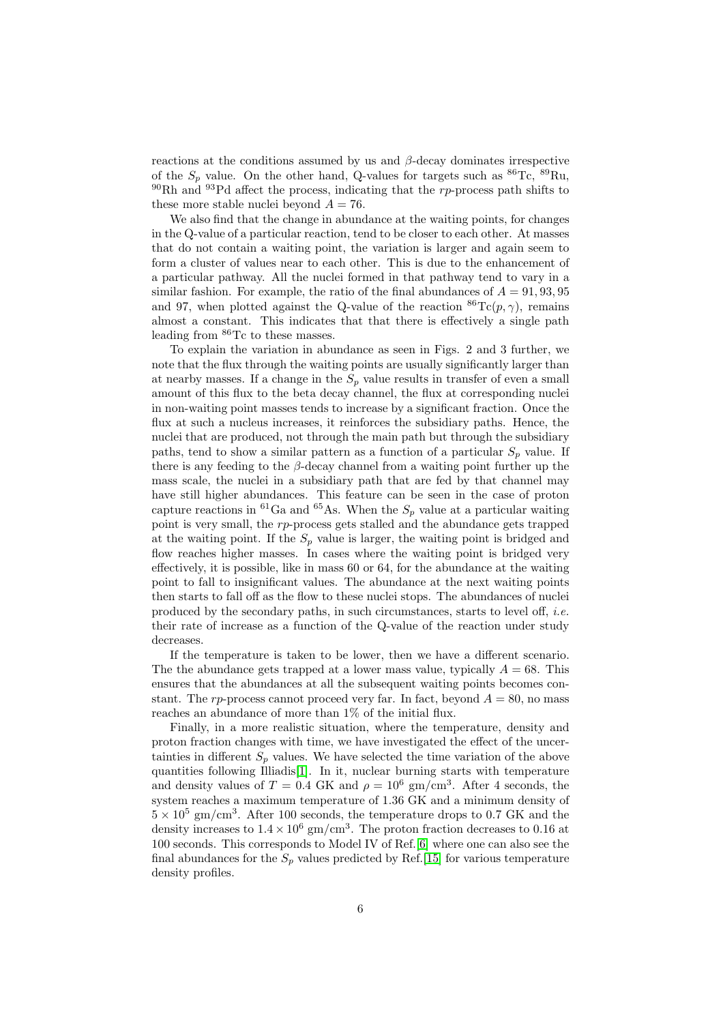reactions at the conditions assumed by us and  $\beta$ -decay dominates irrespective of the  $S_p$  value. On the other hand, Q-values for targets such as  ${}^{86}\text{Tc}$ ,  ${}^{89}\text{Ru}$ ,  $90Rh$  and  $93Pd$  affect the process, indicating that the rp-process path shifts to these more stable nuclei beyond  $A = 76$ .

We also find that the change in abundance at the waiting points, for changes in the Q-value of a particular reaction, tend to be closer to each other. At masses that do not contain a waiting point, the variation is larger and again seem to form a cluster of values near to each other. This is due to the enhancement of a particular pathway. All the nuclei formed in that pathway tend to vary in a similar fashion. For example, the ratio of the final abundances of  $A = 91,93,95$ and 97, when plotted against the Q-value of the reaction  ${}^{86}\text{Te}(p, \gamma)$ , remains almost a constant. This indicates that that there is effectively a single path leading from <sup>86</sup>Tc to these masses.

To explain the variation in abundance as seen in Figs. 2 and 3 further, we note that the flux through the waiting points are usually significantly larger than at nearby masses. If a change in the  $S_p$  value results in transfer of even a small amount of this flux to the beta decay channel, the flux at corresponding nuclei in non-waiting point masses tends to increase by a significant fraction. Once the flux at such a nucleus increases, it reinforces the subsidiary paths. Hence, the nuclei that are produced, not through the main path but through the subsidiary paths, tend to show a similar pattern as a function of a particular  $S_p$  value. If there is any feeding to the  $\beta$ -decay channel from a waiting point further up the mass scale, the nuclei in a subsidiary path that are fed by that channel may have still higher abundances. This feature can be seen in the case of proton capture reactions in <sup>61</sup>Ga and <sup>65</sup>As. When the  $S_p$  value at a particular waiting point is very small, the rp-process gets stalled and the abundance gets trapped at the waiting point. If the  $S_p$  value is larger, the waiting point is bridged and flow reaches higher masses. In cases where the waiting point is bridged very effectively, it is possible, like in mass 60 or 64, for the abundance at the waiting point to fall to insignificant values. The abundance at the next waiting points then starts to fall off as the flow to these nuclei stops. The abundances of nuclei produced by the secondary paths, in such circumstances, starts to level off, *i.e.* their rate of increase as a function of the Q-value of the reaction under study decreases.

If the temperature is taken to be lower, then we have a different scenario. The the abundance gets trapped at a lower mass value, typically  $A = 68$ . This ensures that the abundances at all the subsequent waiting points becomes constant. The rp-process cannot proceed very far. In fact, beyond  $A = 80$ , no mass reaches an abundance of more than 1% of the initial flux.

Finally, in a more realistic situation, where the temperature, density and proton fraction changes with time, we have investigated the effect of the uncertainties in different  $S_p$  values. We have selected the time variation of the above quantities following Illiadis[\[1\]](#page-7-0). In it, nuclear burning starts with temperature and density values of  $T = 0.4$  GK and  $\rho = 10^6$  gm/cm<sup>3</sup>. After 4 seconds, the system reaches a maximum temperature of 1.36 GK and a minimum density of  $5 \times 10^5$  gm/cm<sup>3</sup>. After 100 seconds, the temperature drops to 0.7 GK and the density increases to  $1.4 \times 10^6$  gm/cm<sup>3</sup>. The proton fraction decreases to 0.16 at 100 seconds. This corresponds to Model IV of Ref.[\[6\]](#page-7-5) where one can also see the final abundances for the  $S_p$  values predicted by Ref.[\[15\]](#page-8-1) for various temperature density profiles.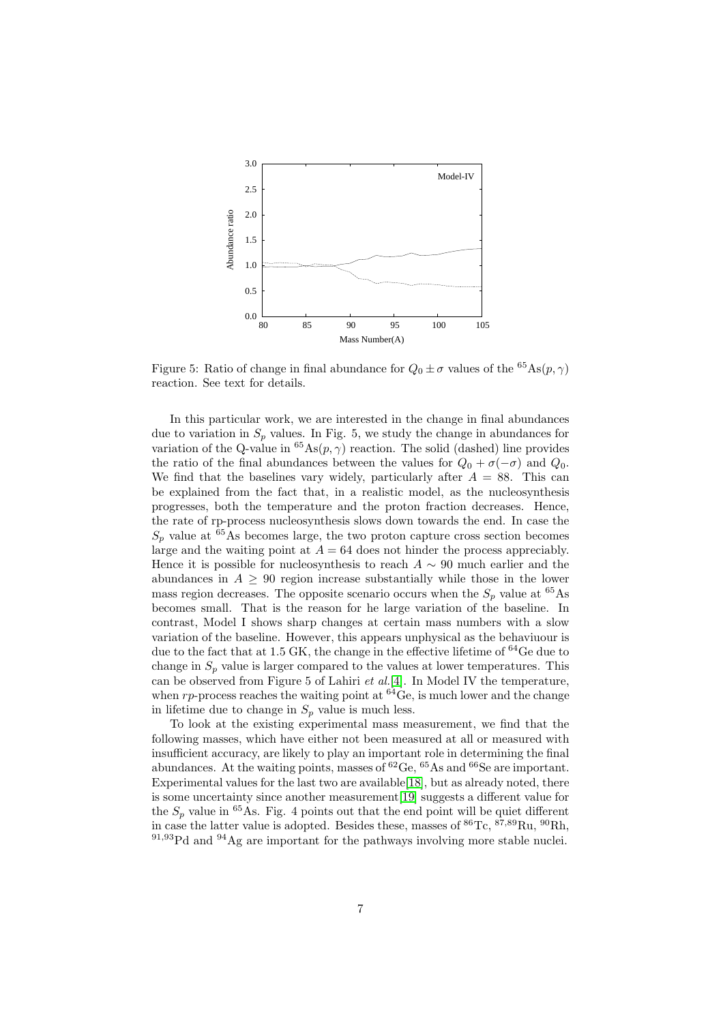

Figure 5: Ratio of change in final abundance for  $Q_0 \pm \sigma$  values of the <sup>65</sup>As( $p, \gamma$ ) reaction. See text for details.

In this particular work, we are interested in the change in final abundances due to variation in  $S_p$  values. In Fig. 5, we study the change in abundances for variation of the Q-value in  ${}^{65}\text{As}(p, \gamma)$  reaction. The solid (dashed) line provides the ratio of the final abundances between the values for  $Q_0 + \sigma(-\sigma)$  and  $Q_0$ . We find that the baselines vary widely, particularly after  $A = 88$ . This can be explained from the fact that, in a realistic model, as the nucleosynthesis progresses, both the temperature and the proton fraction decreases. Hence, the rate of rp-process nucleosynthesis slows down towards the end. In case the  $S_p$  value at <sup>65</sup>As becomes large, the two proton capture cross section becomes large and the waiting point at  $A = 64$  does not hinder the process appreciably. Hence it is possible for nucleosynthesis to reach  $A \sim 90$  much earlier and the abundances in  $A > 90$  region increase substantially while those in the lower mass region decreases. The opposite scenario occurs when the  $S_n$  value at <sup>65</sup>As becomes small. That is the reason for he large variation of the baseline. In contrast, Model I shows sharp changes at certain mass numbers with a slow variation of the baseline. However, this appears unphysical as the behaviuour is due to the fact that at 1.5 GK, the change in the effective lifetime of <sup>64</sup>Ge due to change in  $S_p$  value is larger compared to the values at lower temperatures. This can be observed from Figure 5 of Lahiri *et al.*[\[4\]](#page-7-3). In Model IV the temperature, when  $rp$ -process reaches the waiting point at  $^{64}$ Ge, is much lower and the change in lifetime due to change in  $S_p$  value is much less.

To look at the existing experimental mass measurement, we find that the following masses, which have either not been measured at all or measured with insufficient accuracy, are likely to play an important role in determining the final abundances. At the waiting points, masses of  ${}^{62}$ Ge,  ${}^{65}$ As and  ${}^{66}$ Se are important. Experimental values for the last two are available[\[18\]](#page-8-4), but as already noted, there is some uncertainty since another measurement[\[19\]](#page-8-5) suggests a different value for the  $S_p$  value in <sup>65</sup>As. Fig. 4 points out that the end point will be quiet different in case the latter value is adopted. Besides these, masses of  ${}^{86}\text{Tc}$ ,  ${}^{87,89}\text{Ru}$ ,  ${}^{90}\text{Rh}$ , <sup>91</sup>,93Pd and <sup>94</sup>Ag are important for the pathways involving more stable nuclei.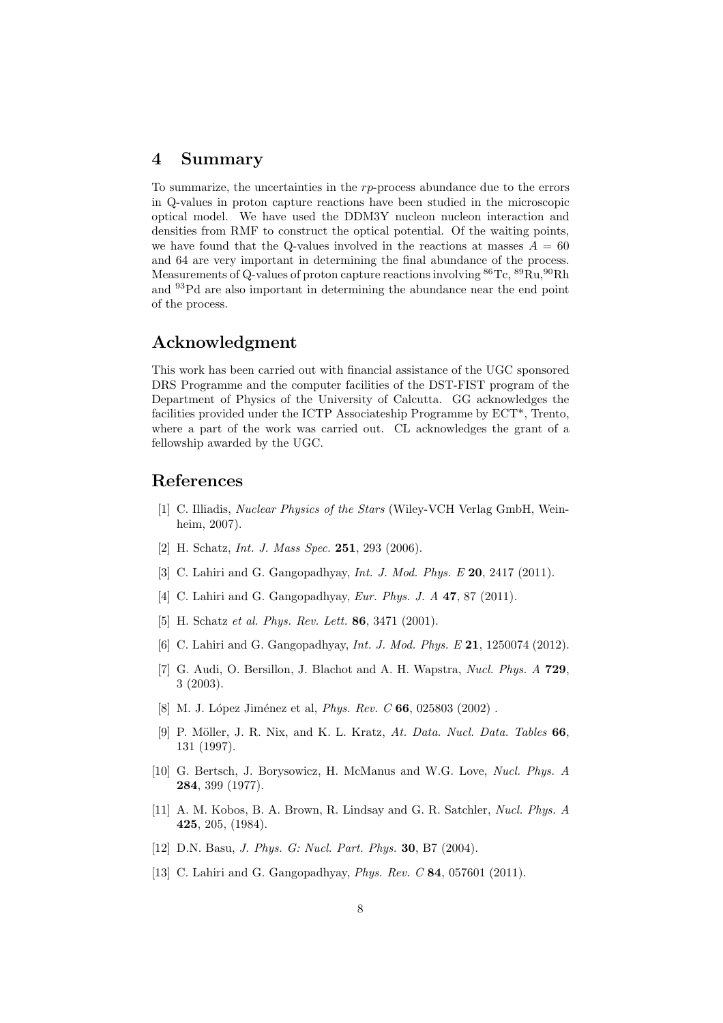#### 4 Summary

To summarize, the uncertainties in the  $rp$ -process abundance due to the errors in Q-values in proton capture reactions have been studied in the microscopic optical model. We have used the DDM3Y nucleon nucleon interaction and densities from RMF to construct the optical potential. Of the waiting points, we have found that the Q-values involved in the reactions at masses  $A = 60$ and 64 are very important in determining the final abundance of the process. Measurements of Q-values of proton capture reactions involving  ${}^{86}$ Tc,  ${}^{89}$ Ru,  ${}^{90}$ Rh and <sup>93</sup>Pd are also important in determining the abundance near the end point of the process.

## Acknowledgment

This work has been carried out with financial assistance of the UGC sponsored DRS Programme and the computer facilities of the DST-FIST program of the Department of Physics of the University of Calcutta. GG acknowledges the facilities provided under the ICTP Associateship Programme by ECT\*, Trento, where a part of the work was carried out. CL acknowledges the grant of a fellowship awarded by the UGC.

### <span id="page-7-0"></span>References

- [1] C. Illiadis, *Nuclear Physics of the Stars* (Wiley-VCH Verlag GmbH, Weinheim, 2007).
- <span id="page-7-2"></span><span id="page-7-1"></span>[2] H. Schatz, *Int. J. Mass Spec.* 251, 293 (2006).
- <span id="page-7-3"></span>[3] C. Lahiri and G. Gangopadhyay, *Int. J. Mod. Phys. E* 20, 2417 (2011).
- <span id="page-7-4"></span>[4] C. Lahiri and G. Gangopadhyay, *Eur. Phys. J. A* 47, 87 (2011).
- <span id="page-7-5"></span>[5] H. Schatz *et al. Phys. Rev. Lett.* 86, 3471 (2001).
- <span id="page-7-6"></span>[6] C. Lahiri and G. Gangopadhyay, *Int. J. Mod. Phys. E* 21, 1250074 (2012).
- [7] G. Audi, O. Bersillon, J. Blachot and A. H. Wapstra, *Nucl. Phys. A* 729, 3 (2003).
- <span id="page-7-8"></span><span id="page-7-7"></span>[8] M. J. López Jiménez et al, *Phys. Rev. C* 66, 025803 (2002).
- [9] P. M¨oller, J. R. Nix, and K. L. Kratz, *At. Data. Nucl. Data. Tables* 66, 131 (1997).
- <span id="page-7-9"></span>[10] G. Bertsch, J. Borysowicz, H. McManus and W.G. Love, *Nucl. Phys. A* 284, 399 (1977).
- <span id="page-7-10"></span>[11] A. M. Kobos, B. A. Brown, R. Lindsay and G. R. Satchler, *Nucl. Phys. A* 425, 205, (1984).
- <span id="page-7-12"></span><span id="page-7-11"></span>[12] D.N. Basu, *J. Phys. G: Nucl. Part. Phys.* 30, B7 (2004).
- [13] C. Lahiri and G. Gangopadhyay, *Phys. Rev. C* 84, 057601 (2011).